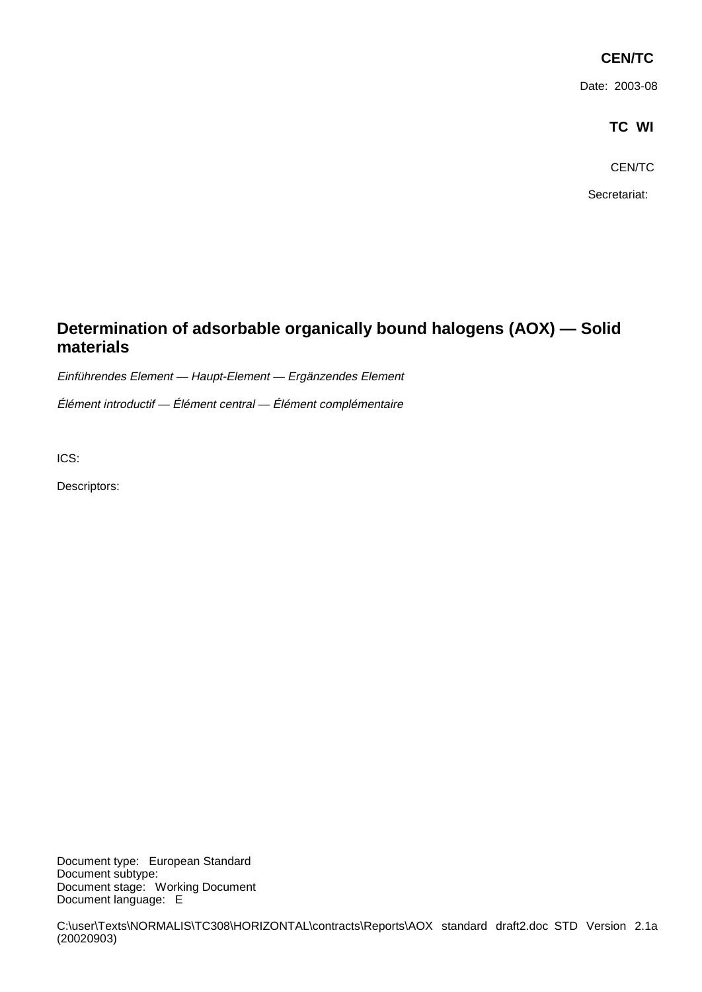# **CEN/TC**

Date: 2003-08

# **TC WI**

CEN/TC

Secretariat:

# **Determination of adsorbable organically bound halogens (AOX) — Solid materials**

Einführendes Element — Haupt-Element — Ergänzendes Element

Élément introductif — Élément central — Élément complémentaire

ICS:

Descriptors:

Document type: European Standard Document subtype: Document stage: Working Document Document language: E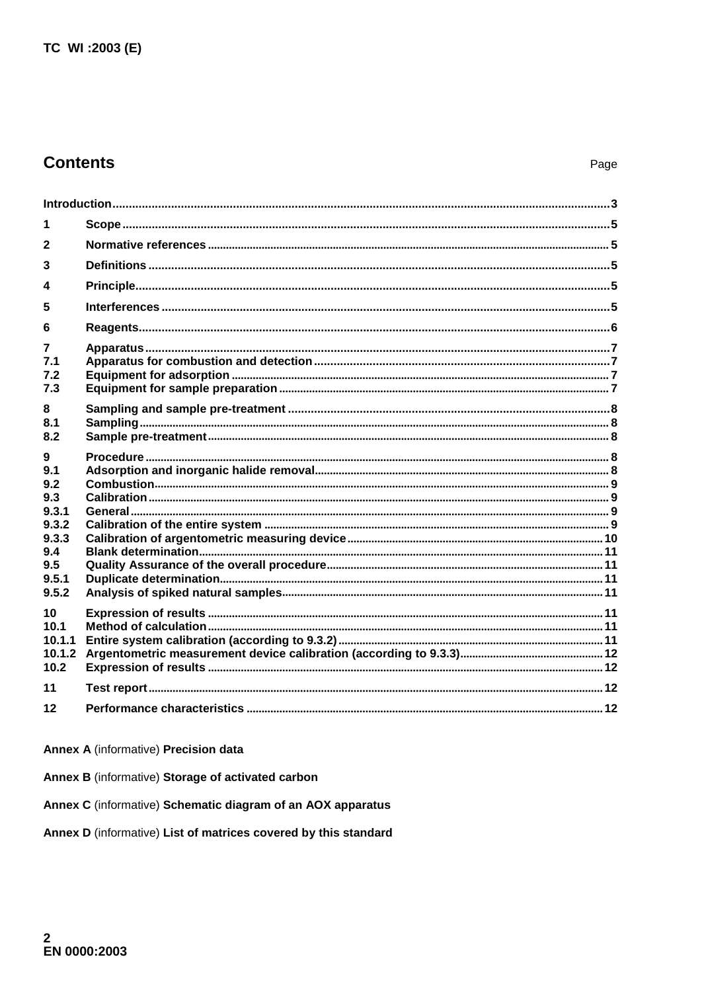# **Contents**

| 1                                              |  |  |  |  |  |  |  |
|------------------------------------------------|--|--|--|--|--|--|--|
| $\mathbf{2}$                                   |  |  |  |  |  |  |  |
| 3                                              |  |  |  |  |  |  |  |
| 4                                              |  |  |  |  |  |  |  |
| 5                                              |  |  |  |  |  |  |  |
| 6                                              |  |  |  |  |  |  |  |
| 7.1<br>7.2<br>7.3                              |  |  |  |  |  |  |  |
| 8<br>8.1<br>8.2                                |  |  |  |  |  |  |  |
| 9<br>9.1<br>9.2<br>9.3                         |  |  |  |  |  |  |  |
| 9.3.1<br>9.3.2<br>9.3.3<br>9.4<br>9.5<br>9.5.1 |  |  |  |  |  |  |  |
| 9.5.2                                          |  |  |  |  |  |  |  |
| 10<br>10.1<br>10.1.1<br>10.1.2<br>10.2         |  |  |  |  |  |  |  |
| 11                                             |  |  |  |  |  |  |  |
| 12                                             |  |  |  |  |  |  |  |

## Annex A (informative) Precision data

Annex B (informative) Storage of activated carbon

Annex C (informative) Schematic diagram of an AOX apparatus

Annex D (informative) List of matrices covered by this standard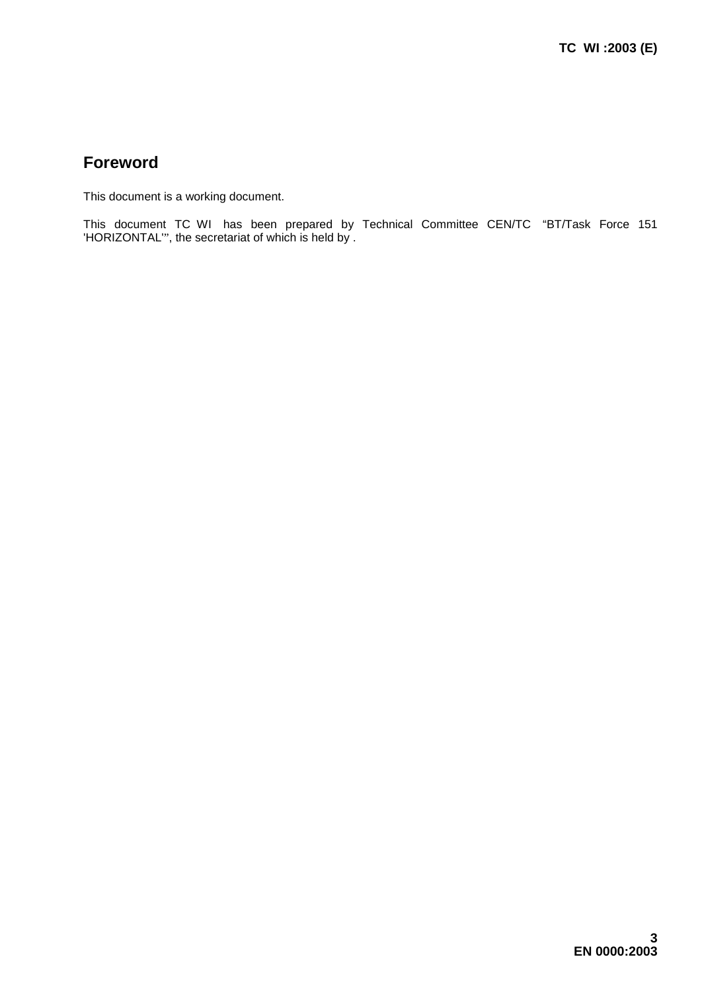# **Foreword**

This document is a working document.

This document TC WI has been prepared by Technical Committee CEN/TC "BT/Task Force 151 'HORIZONTAL'", the secretariat of which is held by .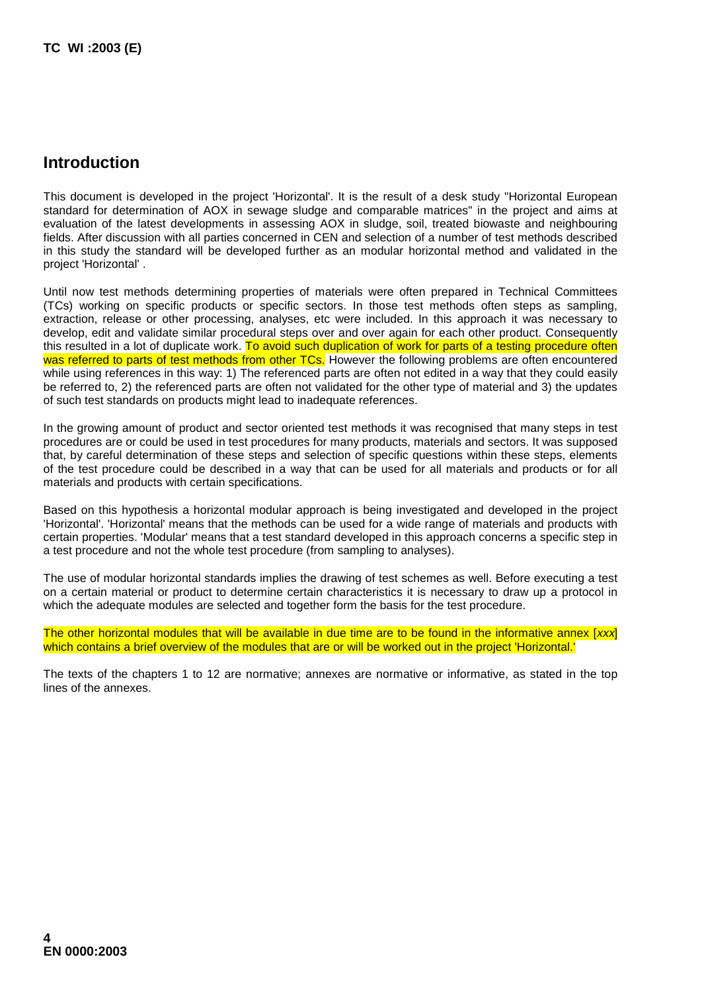# **Introduction**

This document is developed in the project 'Horizontal'. It is the result of a desk study "Horizontal European standard for determination of AOX in sewage sludge and comparable matrices" in the project and aims at evaluation of the latest developments in assessing AOX in sludge, soil, treated biowaste and neighbouring fields. After discussion with all parties concerned in CEN and selection of a number of test methods described in this study the standard will be developed further as an modular horizontal method and validated in the project 'Horizontal' .

Until now test methods determining properties of materials were often prepared in Technical Committees (TCs) working on specific products or specific sectors. In those test methods often steps as sampling, extraction, release or other processing, analyses, etc were included. In this approach it was necessary to develop, edit and validate similar procedural steps over and over again for each other product. Consequently this resulted in a lot of duplicate work. To avoid such duplication of work for parts of a testing procedure often was referred to parts of test methods from other TCs. However the following problems are often encountered while using references in this way: 1) The referenced parts are often not edited in a way that they could easily be referred to, 2) the referenced parts are often not validated for the other type of material and 3) the updates of such test standards on products might lead to inadequate references.

In the growing amount of product and sector oriented test methods it was recognised that many steps in test procedures are or could be used in test procedures for many products, materials and sectors. It was supposed that, by careful determination of these steps and selection of specific questions within these steps, elements of the test procedure could be described in a way that can be used for all materials and products or for all materials and products with certain specifications.

Based on this hypothesis a horizontal modular approach is being investigated and developed in the project 'Horizontal'. 'Horizontal' means that the methods can be used for a wide range of materials and products with certain properties. 'Modular' means that a test standard developed in this approach concerns a specific step in a test procedure and not the whole test procedure (from sampling to analyses).

The use of modular horizontal standards implies the drawing of test schemes as well. Before executing a test on a certain material or product to determine certain characteristics it is necessary to draw up a protocol in which the adequate modules are selected and together form the basis for the test procedure.

The other horizontal modules that will be available in due time are to be found in the informative annex [xxx] which contains a brief overview of the modules that are or will be worked out in the project 'Horizontal.'

The texts of the chapters 1 to 12 are normative; annexes are normative or informative, as stated in the top lines of the annexes.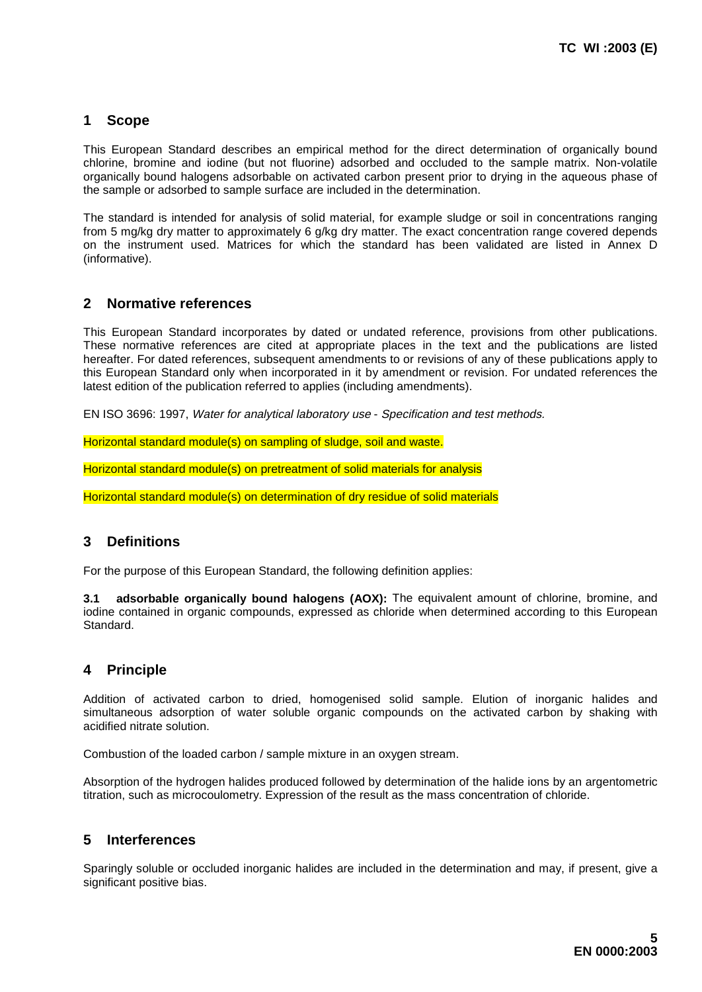## **1 Scope**

This European Standard describes an empirical method for the direct determination of organically bound chlorine, bromine and iodine (but not fluorine) adsorbed and occluded to the sample matrix. Non-volatile organically bound halogens adsorbable on activated carbon present prior to drying in the aqueous phase of the sample or adsorbed to sample surface are included in the determination.

The standard is intended for analysis of solid material, for example sludge or soil in concentrations ranging from 5 mg/kg dry matter to approximately 6 g/kg dry matter. The exact concentration range covered depends on the instrument used. Matrices for which the standard has been validated are listed in Annex D (informative).

## **2 Normative references**

This European Standard incorporates by dated or undated reference, provisions from other publications. These normative references are cited at appropriate places in the text and the publications are listed hereafter. For dated references, subsequent amendments to or revisions of any of these publications apply to this European Standard only when incorporated in it by amendment or revision. For undated references the latest edition of the publication referred to applies (including amendments).

EN ISO 3696: 1997, Water for analytical laboratory use - Specification and test methods.

Horizontal standard module(s) on sampling of sludge, soil and waste.

Horizontal standard module(s) on pretreatment of solid materials for analysis

Horizontal standard module(s) on determination of dry residue of solid materials

## **3 Definitions**

For the purpose of this European Standard, the following definition applies:

**adsorbable organically bound halogens (AOX):** The equivalent amount of chlorine, bromine, and iodine contained in organic compounds, expressed as chloride when determined according to this European Standard.

## **4 Principle**

Addition of activated carbon to dried, homogenised solid sample. Elution of inorganic halides and simultaneous adsorption of water soluble organic compounds on the activated carbon by shaking with acidified nitrate solution.

Combustion of the loaded carbon / sample mixture in an oxygen stream.

Absorption of the hydrogen halides produced followed by determination of the halide ions by an argentometric titration, such as microcoulometry. Expression of the result as the mass concentration of chloride.

## **5 Interferences**

Sparingly soluble or occluded inorganic halides are included in the determination and may, if present, give a significant positive bias.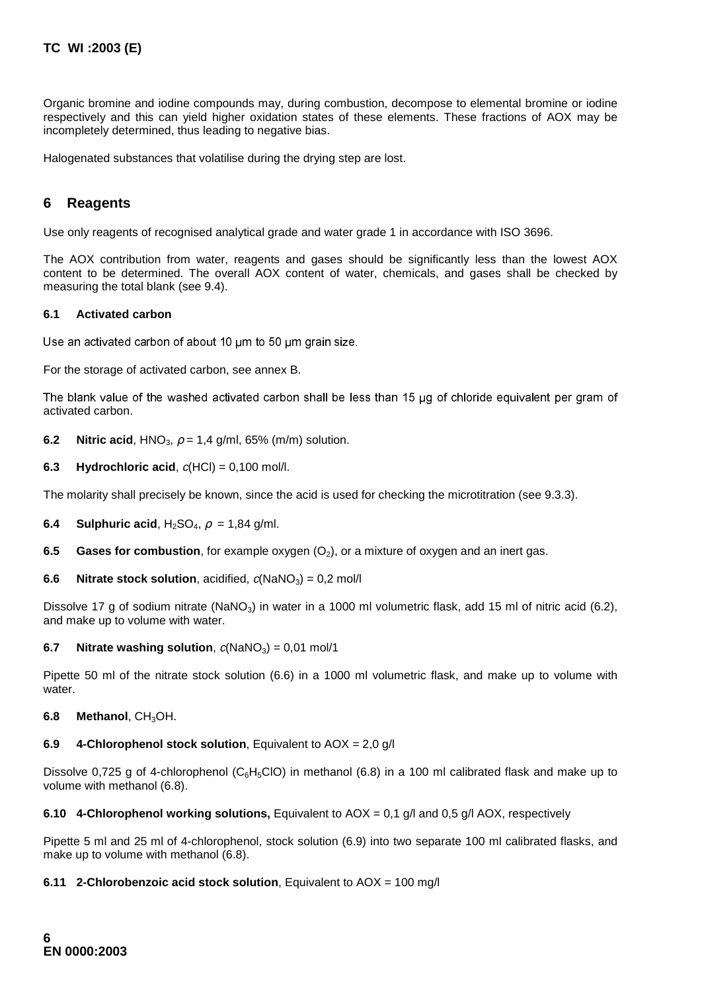Organic bromine and iodine compounds may, during combustion, decompose to elemental bromine or iodine respectively and this can yield higher oxidation states of these elements. These fractions of AOX may be incompletely determined, thus leading to negative bias.

Halogenated substances that volatilise during the drying step are lost.

## **6 Reagents**

Use only reagents of recognised analytical grade and water grade 1 in accordance with ISO 3696.

The AOX contribution from water, reagents and gases should be significantly less than the lowest AOX content to be determined. The overall AOX content of water, chemicals, and gases shall be checked by measuring the total blank (see 9.4).

#### **6.1 Activated carbon**

Use an activated carbon of about 10 um to 50 um grain size.

For the storage of activated carbon, see annex B.

The blank value of the washed activated carbon shall be less than 15 µg of chloride equivalent per gram of activated carbon.

**6.2 Nitric acid**, HNO<sub>3</sub>,  $\rho = 1.4$  g/ml, 65% (m/m) solution.

**6.3 Hydrochloric acid,**  $c(HCl) = 0,100$  mol/l.

The molarity shall precisely be known, since the acid is used for checking the microtitration (see 9.3.3).

**6.4 Sulphuric acid**,  $H_2SO_4$ ,  $\rho = 1,84$  g/ml.

**6.5 Gases for combustion**, for example oxygen (O<sub>2</sub>), or a mixture of oxygen and an inert gas.

**6.6 Nitrate stock solution**, acidified,  $c(NaNO<sub>3</sub>) = 0.2$  mol/l

Dissolve 17 g of sodium nitrate (NaNO<sub>3</sub>) in water in a 1000 ml volumetric flask, add 15 ml of nitric acid (6.2), and make up to volume with water.

**6.7** Nitrate washing solution,  $c(NaNO<sub>3</sub>) = 0.01$  mol/1

Pipette 50 ml of the nitrate stock solution (6.6) in a 1000 ml volumetric flask, and make up to volume with water.

**6.8 Methanol**, CH3OH.

#### **6.9 4-Chlorophenol stock solution**, Equivalent to AOX = 2,0 g/l

Dissolve 0,725 g of 4-chlorophenol (C<sub>6</sub>H<sub>5</sub>ClO) in methanol (6.8) in a 100 ml calibrated flask and make up to volume with methanol (6.8).

**6.10 4-Chlorophenol working solutions,** Equivalent to AOX = 0,1 g/l and 0,5 g/l AOX, respectively

Pipette 5 ml and 25 ml of 4-chlorophenol, stock solution (6.9) into two separate 100 ml calibrated flasks, and make up to volume with methanol (6.8).

### **6.11 2-Chlorobenzoic acid stock solution**, Equivalent to AOX = 100 mg/l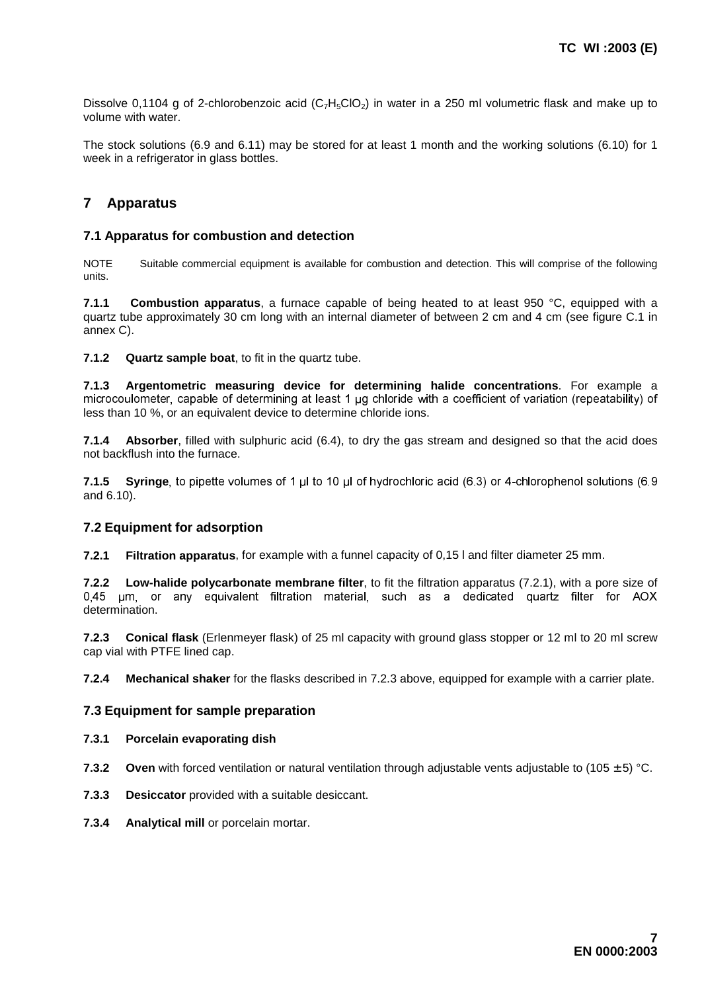Dissolve 0,1104 g of 2-chlorobenzoic acid ( $C_7H_5ClO_2$ ) in water in a 250 ml volumetric flask and make up to volume with water.

The stock solutions (6.9 and 6.11) may be stored for at least 1 month and the working solutions (6.10) for 1 week in a refrigerator in glass bottles.

## **7 Apparatus**

### **7.1 Apparatus for combustion and detection**

NOTE Suitable commercial equipment is available for combustion and detection. This will comprise of the following units.

**7.1.1 Combustion apparatus**, a furnace capable of being heated to at least 950 °C, equipped with a quartz tube approximately 30 cm long with an internal diameter of between 2 cm and 4 cm (see figure C.1 in annex C).

**7.1.2 Quartz sample boat**, to fit in the quartz tube.

**7.1.3 Argentometric measuring device for determining halide concentrations**. For example a microcoulometer, capable of determining at least 1 µg chloride with a coefficient of variation (repeatability) of less than 10 %, or an equivalent device to determine chloride ions.

**7.1.4 Absorber**, filled with sulphuric acid (6.4), to dry the gas stream and designed so that the acid does not backflush into the furnace.

**7.1.5 Syringe**, to pipette volumes of 1 µl to 10 µl of hydrochloric acid (6.3) or 4-chlorophenol solutions (6.9 and 6.10).

## **7.2 Equipment for adsorption**

**7.2.1 Filtration apparatus**, for example with a funnel capacity of 0,15 l and filter diameter 25 mm.

**7.2.2 Low-halide polycarbonate membrane filter**, to fit the filtration apparatus (7.2.1), with a pore size of 0,45 um, or any equivalent filtration material, such as a dedicated quartz filter for AOX determination.

**7.2.3 Conical flask** (Erlenmeyer flask) of 25 ml capacity with ground glass stopper or 12 ml to 20 ml screw cap vial with PTFE lined cap.

**7.2.4 Mechanical shaker** for the flasks described in 7.2.3 above, equipped for example with a carrier plate.

### **7.3 Equipment for sample preparation**

#### **7.3.1 Porcelain evaporating dish**

**7.3.2 Oven** with forced ventilation or natural ventilation through adjustable vents adjustable to (105 ± 5) °C.

- **7.3.3 Desiccator** provided with a suitable desiccant.
- **7.3.4 Analytical mill** or porcelain mortar.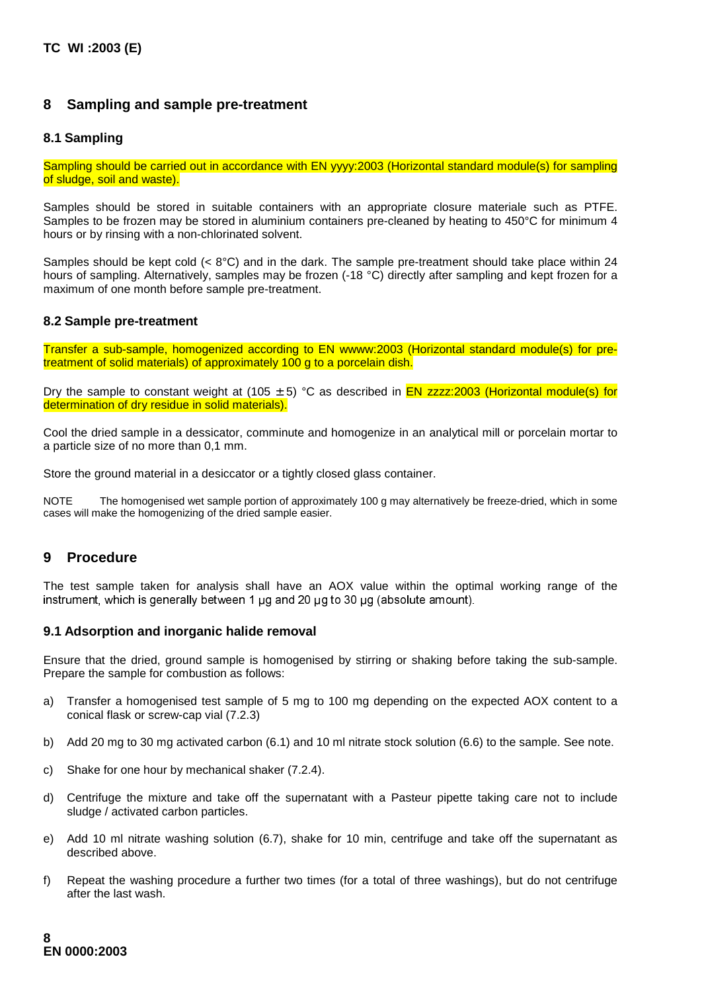## **8 Sampling and sample pre-treatment**

### **8.1 Sampling**

Sampling should be carried out in accordance with EN yyyy:2003 (Horizontal standard module(s) for sampling of sludge, soil and waste).

Samples should be stored in suitable containers with an appropriate closure materiale such as PTFE. Samples to be frozen may be stored in aluminium containers pre-cleaned by heating to 450°C for minimum 4 hours or by rinsing with a non-chlorinated solvent.

Samples should be kept cold  $( $8^{\circ}$ C)$  and in the dark. The sample pre-treatment should take place within 24 hours of sampling. Alternatively, samples may be frozen (-18 °C) directly after sampling and kept frozen for a maximum of one month before sample pre-treatment.

### **8.2 Sample pre-treatment**

Transfer a sub-sample, homogenized according to EN wwww:2003 (Horizontal standard module(s) for pretreatment of solid materials) of approximately 100 g to a porcelain dish.

Dry the sample to constant weight at (105  $\pm$  5) °C as described in EN zzzz:2003 (Horizontal module(s) for determination of dry residue in solid materials).

Cool the dried sample in a dessicator, comminute and homogenize in an analytical mill or porcelain mortar to a particle size of no more than 0,1 mm.

Store the ground material in a desiccator or a tightly closed glass container.

NOTE The homogenised wet sample portion of approximately 100 g may alternatively be freeze-dried, which in some cases will make the homogenizing of the dried sample easier.

## **9 Procedure**

The test sample taken for analysis shall have an AOX value within the optimal working range of the instrument, which is generally between 1  $\mu$ g and 20  $\mu$ g to 30  $\mu$ g (absolute amount).

### **9.1 Adsorption and inorganic halide removal**

Ensure that the dried, ground sample is homogenised by stirring or shaking before taking the sub-sample. Prepare the sample for combustion as follows:

- a) Transfer a homogenised test sample of 5 mg to 100 mg depending on the expected AOX content to a conical flask or screw-cap vial (7.2.3)
- b) Add 20 mg to 30 mg activated carbon (6.1) and 10 ml nitrate stock solution (6.6) to the sample. See note.
- c) Shake for one hour by mechanical shaker (7.2.4).
- d) Centrifuge the mixture and take off the supernatant with a Pasteur pipette taking care not to include sludge / activated carbon particles.
- e) Add 10 ml nitrate washing solution (6.7), shake for 10 min, centrifuge and take off the supernatant as described above.
- f) Repeat the washing procedure a further two times (for a total of three washings), but do not centrifuge after the last wash.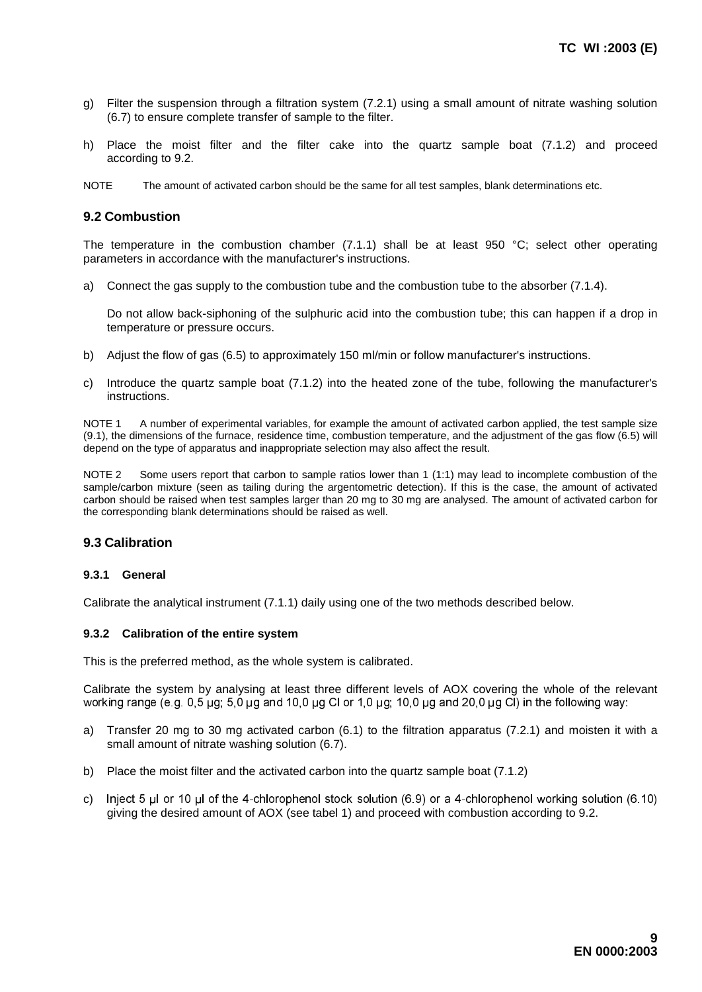- g) Filter the suspension through a filtration system (7.2.1) using a small amount of nitrate washing solution (6.7) to ensure complete transfer of sample to the filter.
- h) Place the moist filter and the filter cake into the quartz sample boat (7.1.2) and proceed according to 9.2.
- NOTE The amount of activated carbon should be the same for all test samples, blank determinations etc.

#### **9.2 Combustion**

The temperature in the combustion chamber (7.1.1) shall be at least 950 °C; select other operating parameters in accordance with the manufacturer's instructions.

a) Connect the gas supply to the combustion tube and the combustion tube to the absorber (7.1.4).

Do not allow back-siphoning of the sulphuric acid into the combustion tube; this can happen if a drop in temperature or pressure occurs.

- b) Adjust the flow of gas (6.5) to approximately 150 ml/min or follow manufacturer's instructions.
- c) Introduce the quartz sample boat (7.1.2) into the heated zone of the tube, following the manufacturer's instructions.

NOTE 1 A number of experimental variables, for example the amount of activated carbon applied, the test sample size (9.1), the dimensions of the furnace, residence time, combustion temperature, and the adjustment of the gas flow (6.5) will depend on the type of apparatus and inappropriate selection may also affect the result.

NOTE 2 Some users report that carbon to sample ratios lower than 1 (1:1) may lead to incomplete combustion of the sample/carbon mixture (seen as tailing during the argentometric detection). If this is the case, the amount of activated carbon should be raised when test samples larger than 20 mg to 30 mg are analysed. The amount of activated carbon for the corresponding blank determinations should be raised as well.

### **9.3 Calibration**

#### **9.3.1 General**

Calibrate the analytical instrument (7.1.1) daily using one of the two methods described below.

#### **9.3.2 Calibration of the entire system**

This is the preferred method, as the whole system is calibrated.

Calibrate the system by analysing at least three different levels of AOX covering the whole of the relevant working range (e.g. 0.5  $\mu$ g; 5.0  $\mu$ g and 10.0  $\mu$ g Cl or 1.0  $\mu$ g; 10.0  $\mu$ g and 20.0  $\mu$ g Cl) in the following way:

- a) Transfer 20 mg to 30 mg activated carbon (6.1) to the filtration apparatus (7.2.1) and moisten it with a small amount of nitrate washing solution (6.7).
- b) Place the moist filter and the activated carbon into the quartz sample boat (7.1.2)
- c) lnject 5 µl or 10 µl of the 4-chlorophenol stock solution  $(6.9)$  or a 4-chlorophenol working solution  $(6.10)$ giving the desired amount of AOX (see tabel 1) and proceed with combustion according to 9.2.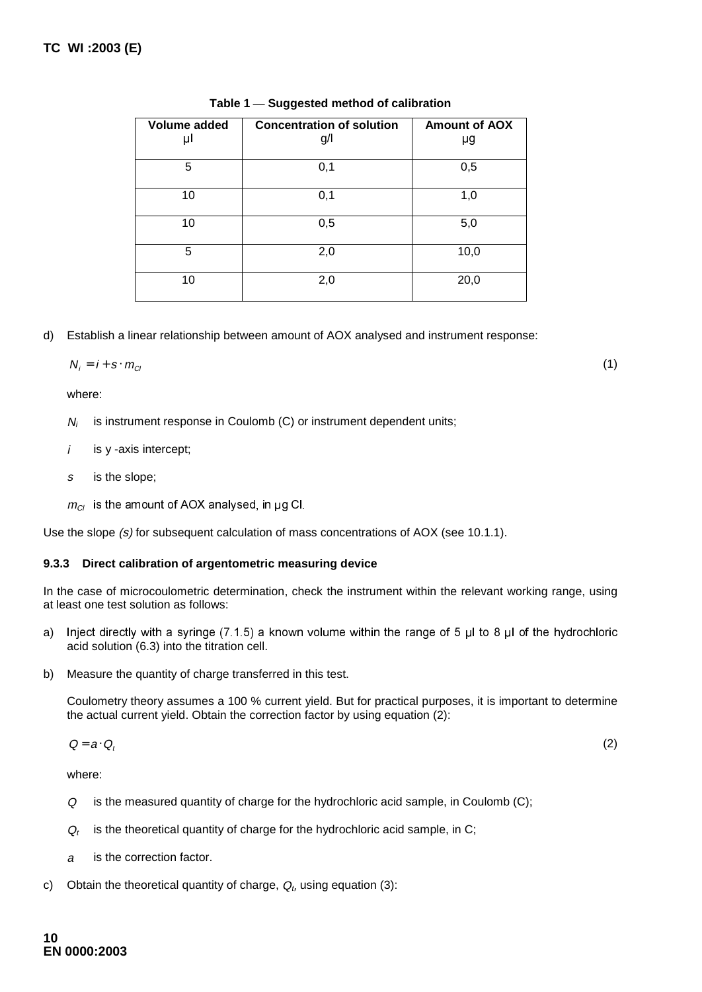| Volume added | <b>Concentration of solution</b> | <b>Amount of AOX</b> |  |  |
|--------------|----------------------------------|----------------------|--|--|
| μΙ           | g/                               | μg                   |  |  |
| 5            | 0,1                              | 0,5                  |  |  |
| 10           | 0,1                              | 1,0                  |  |  |
| 10           | 0,5                              | 5,0                  |  |  |
| 5            | 2,0                              | 10,0                 |  |  |
| 10           | 2,0                              | 20,0                 |  |  |

**Table 1 — Suggested method of calibration**

d) Establish a linear relationship between amount of AOX analysed and instrument response:

$$
N_i = i + s \cdot m_{ci} \tag{1}
$$

where:

- $N_i$  is instrument response in Coulomb (C) or instrument dependent units;
- $i$  is y -axis intercept;
- s is the slope;
- $m_{Cl}$  is the amount of AOX analysed, in µg Cl.

Use the slope (s) for subsequent calculation of mass concentrations of AOX (see 10.1.1).

## **9.3.3 Direct calibration of argentometric measuring device**

In the case of microcoulometric determination, check the instrument within the relevant working range, using at least one test solution as follows:

- a) Inject directly with a syringe (7.1.5) a known volume within the range of 5  $\mu$ l to 8  $\mu$  of the hydrochloric acid solution (6.3) into the titration cell.
- b) Measure the quantity of charge transferred in this test.

Coulometry theory assumes a 100 % current yield. But for practical purposes, it is important to determine the actual current yield. Obtain the correction factor by using equation (2):

$$
Q = a \cdot Q_t \tag{2}
$$

where:

- Q is the measured quantity of charge for the hydrochloric acid sample, in Coulomb (C);
- $Q_t$  is the theoretical quantity of charge for the hydrochloric acid sample, in C;
- <sup>a</sup> is the correction factor.
- c) Obtain the theoretical quantity of charge,  $Q_t$ , using equation (3):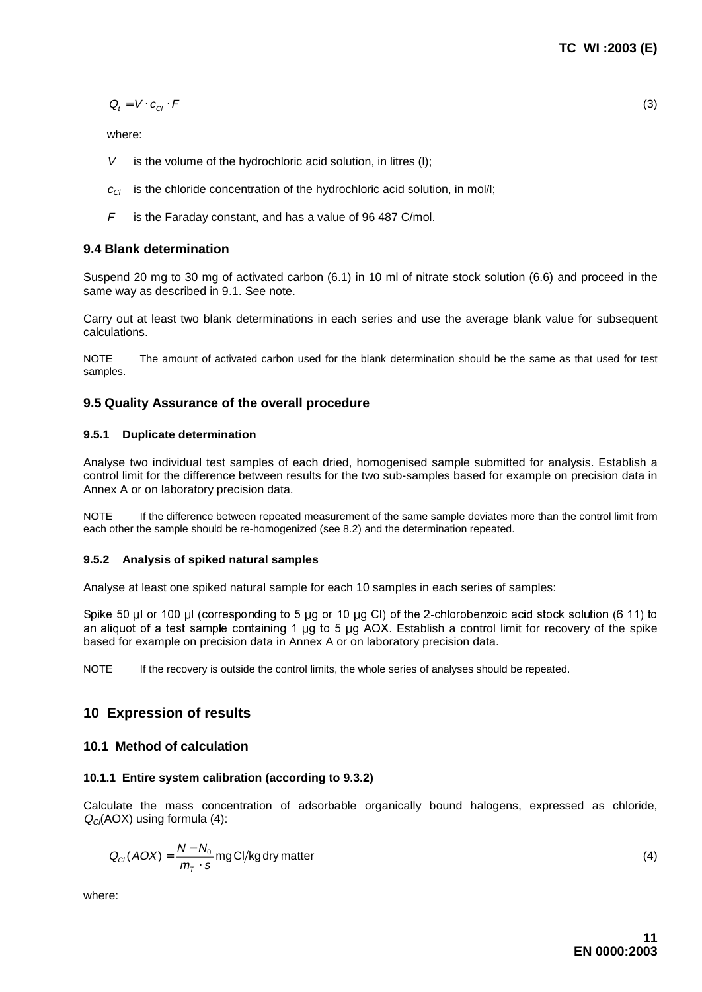$$
Q_t = V \cdot c_{Cl} \cdot F \tag{3}
$$

where:

- $V$  is the volume of the hydrochloric acid solution, in litres (I);
- $c_{\text{C}}$  is the chloride concentration of the hydrochloric acid solution, in mol/l;
- $F$  is the Faraday constant, and has a value of 96 487 C/mol.

### **9.4 Blank determination**

Suspend 20 mg to 30 mg of activated carbon (6.1) in 10 ml of nitrate stock solution (6.6) and proceed in the same way as described in 9.1. See note.

Carry out at least two blank determinations in each series and use the average blank value for subsequent calculations.

NOTE The amount of activated carbon used for the blank determination should be the same as that used for test samples.

## **9.5 Quality Assurance of the overall procedure**

#### **9.5.1 Duplicate determination**

Analyse two individual test samples of each dried, homogenised sample submitted for analysis. Establish a control limit for the difference between results for the two sub-samples based for example on precision data in Annex A or on laboratory precision data.

NOTE If the difference between repeated measurement of the same sample deviates more than the control limit from each other the sample should be re-homogenized (see 8.2) and the determination repeated.

#### **9.5.2 Analysis of spiked natural samples**

Analyse at least one spiked natural sample for each 10 samples in each series of samples:

Spike 50 µl or 100 µl (corresponding to 5 µg or 10 µg Cl) of the 2-chlorobenzoic acid stock solution (6.11) to an aliquot of a test sample containing 1  $\mu$ g to 5  $\mu$ g AOX. Establish a control limit for recovery of the spike based for example on precision data in Annex A or on laboratory precision data.

NOTE If the recovery is outside the control limits, the whole series of analyses should be repeated.

## **10 Expression of results**

### **10.1 Method of calculation**

### **10.1.1 Entire system calibration (according to 9.3.2)**

Calculate the mass concentration of adsorbable organically bound halogens, expressed as chloride,  $Q_{\text{C}}$ (AOX) using formula (4):

$$
Q_{Cl}(AOX) = \frac{N - N_0}{m_T \cdot s} mg\text{Cl/kg} \text{ dry matter}
$$
\n(4)

where: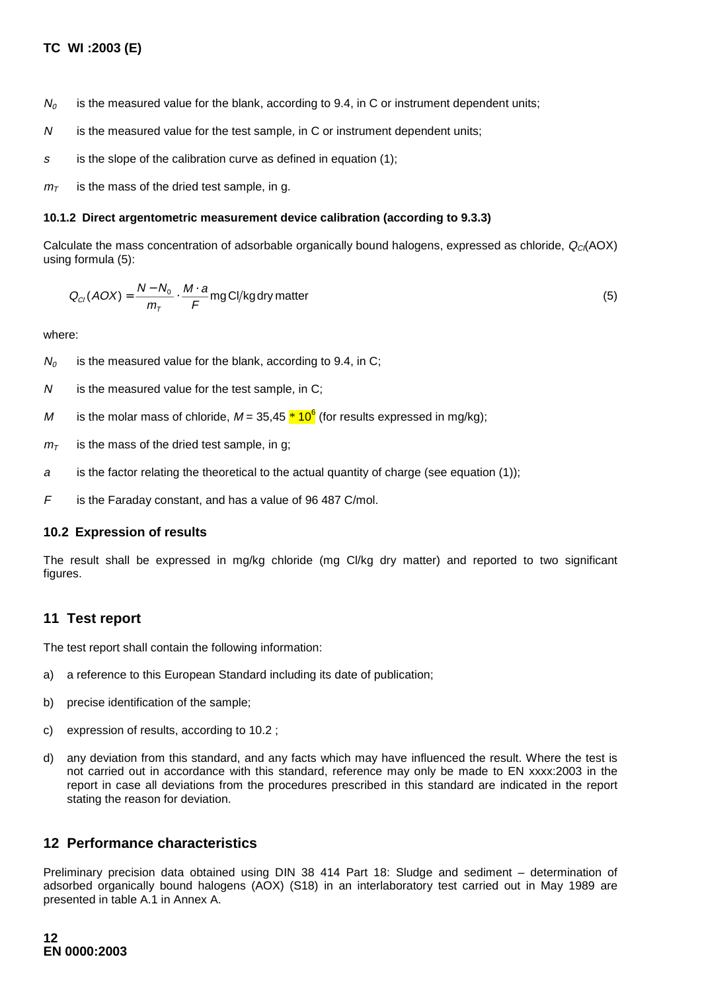- $N_0$  is the measured value for the blank, according to 9.4, in C or instrument dependent units;
- $N$  is the measured value for the test sample, in C or instrument dependent units;
- s is the slope of the calibration curve as defined in equation  $(1)$ ;

 $m<sub>T</sub>$  is the mass of the dried test sample, in g.

#### **10.1.2 Direct argentometric measurement device calibration (according to 9.3.3)**

Calculate the mass concentration of adsorbable organically bound halogens, expressed as chloride,  $Q_C(AOX)$ using formula (5):

$$
Q_{Cl}(AOX) = \frac{N - N_0}{m_T} \cdot \frac{M \cdot a}{F} \text{mg Cl/kg dry matter}
$$
 (5)

where:

- $N_0$  is the measured value for the blank, according to 9.4, in C;
- $N$  is the measured value for the test sample, in C;
- M is the molar mass of chloride, M = 35,45 <mark>\* 10<sup>6</sup></mark> (for results expressed in mg/kg);
- $m<sub>T</sub>$  is the mass of the dried test sample, in g;
- a is the factor relating the theoretical to the actual quantity of charge (see equation (1));
- F is the Faraday constant, and has a value of 96 487 C/mol.

### **10.2 Expression of results**

The result shall be expressed in mg/kg chloride (mg Cl/kg dry matter) and reported to two significant figures.

## **11 Test report**

The test report shall contain the following information:

- a) a reference to this European Standard including its date of publication;
- b) precise identification of the sample;
- c) expression of results, according to 10.2 ;
- d) any deviation from this standard, and any facts which may have influenced the result. Where the test is not carried out in accordance with this standard, reference may only be made to EN xxxx:2003 in the report in case all deviations from the procedures prescribed in this standard are indicated in the report stating the reason for deviation.

## **12 Performance characteristics**

Preliminary precision data obtained using DIN 38 414 Part 18: Sludge and sediment – determination of adsorbed organically bound halogens (AOX) (S18) in an interlaboratory test carried out in May 1989 are presented in table A.1 in Annex A.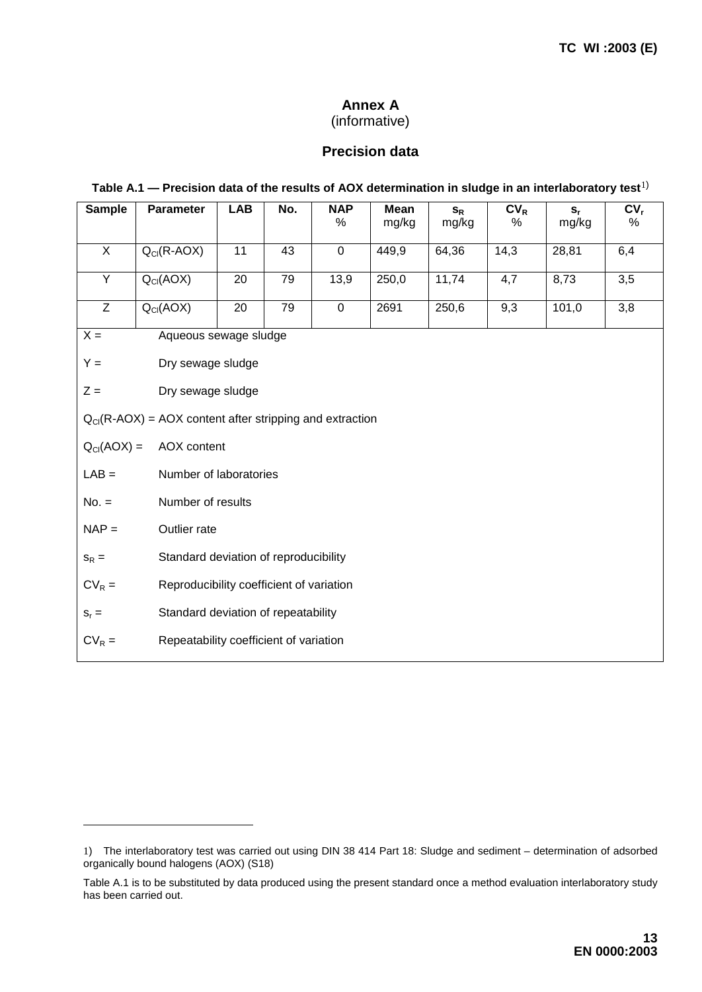# **Annex A**

# (informative)

## **Precision data**

## **Table A.1 — Precision data of the results of AOX determination in sludge in an interlaboratory test**1)

| <b>Sample</b>                                                              | <b>Parameter</b>                       | <b>LAB</b>                          | No.             | <b>NAP</b><br>%     | <b>Mean</b><br>mg/kg | $S_R$<br>mg/kg | $CV_R$<br>℅ | $S_r$<br>mg/kg | $CV_r$<br>%      |  |  |  |  |
|----------------------------------------------------------------------------|----------------------------------------|-------------------------------------|-----------------|---------------------|----------------------|----------------|-------------|----------------|------------------|--|--|--|--|
| $\overline{X}$                                                             | $Q_{Cl}(R-AOX)$                        | 11                                  | 43              | $\mathsf{O}\xspace$ | 449,9                | 64,36          | 14,3        | 28,81          | 6,4              |  |  |  |  |
| $\overline{Y}$                                                             | $Q_{Cl}(AOX)$                          | $\overline{20}$                     | $\overline{79}$ | 13,9                | 250,0                | 11,74          | 4,7         | 8,73           | $\overline{3,5}$ |  |  |  |  |
| $\overline{Z}$                                                             | $Q_{Cl}(AOX)$                          | 20                                  | 79              | $\mathsf 0$         | 2691                 | 250,6          | 9,3         | 101,0          | 3,8              |  |  |  |  |
| $\overline{X}$ =<br>Aqueous sewage sludge                                  |                                        |                                     |                 |                     |                      |                |             |                |                  |  |  |  |  |
| $Y =$                                                                      | Dry sewage sludge                      |                                     |                 |                     |                      |                |             |                |                  |  |  |  |  |
| $Z =$<br>Dry sewage sludge                                                 |                                        |                                     |                 |                     |                      |                |             |                |                  |  |  |  |  |
| $Q_{\text{Cl}}(R\text{-}AOX) = AOX$ content after stripping and extraction |                                        |                                     |                 |                     |                      |                |             |                |                  |  |  |  |  |
| $Q_{Cl}(AOX) =$                                                            |                                        | AOX content                         |                 |                     |                      |                |             |                |                  |  |  |  |  |
| $LAB =$                                                                    |                                        | Number of laboratories              |                 |                     |                      |                |             |                |                  |  |  |  |  |
| $No. =$                                                                    |                                        | Number of results                   |                 |                     |                      |                |             |                |                  |  |  |  |  |
| $NAP =$                                                                    |                                        | Outlier rate                        |                 |                     |                      |                |             |                |                  |  |  |  |  |
| Standard deviation of reproducibility<br>$S_R =$                           |                                        |                                     |                 |                     |                      |                |             |                |                  |  |  |  |  |
| Reproducibility coefficient of variation<br>$CV_R =$                       |                                        |                                     |                 |                     |                      |                |             |                |                  |  |  |  |  |
| $S_r =$                                                                    |                                        | Standard deviation of repeatability |                 |                     |                      |                |             |                |                  |  |  |  |  |
| $CV_R =$                                                                   | Repeatability coefficient of variation |                                     |                 |                     |                      |                |             |                |                  |  |  |  |  |

-

<sup>1</sup>) The interlaboratory test was carried out using DIN 38 414 Part 18: Sludge and sediment – determination of adsorbed organically bound halogens (AOX) (S18)

Table A.1 is to be substituted by data produced using the present standard once a method evaluation interlaboratory study has been carried out.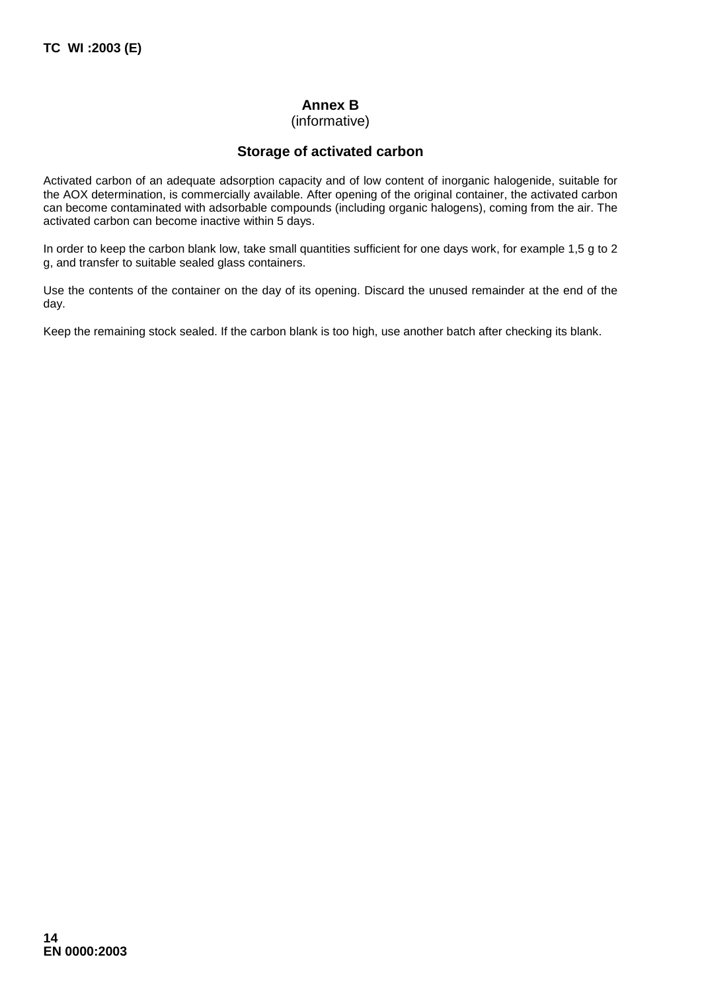# **Annex B**

## (informative)

## **Storage of activated carbon**

Activated carbon of an adequate adsorption capacity and of low content of inorganic halogenide, suitable for the AOX determination, is commercially available. After opening of the original container, the activated carbon can become contaminated with adsorbable compounds (including organic halogens), coming from the air. The activated carbon can become inactive within 5 days.

In order to keep the carbon blank low, take small quantities sufficient for one days work, for example 1,5 g to 2 g, and transfer to suitable sealed glass containers.

Use the contents of the container on the day of its opening. Discard the unused remainder at the end of the day.

Keep the remaining stock sealed. If the carbon blank is too high, use another batch after checking its blank.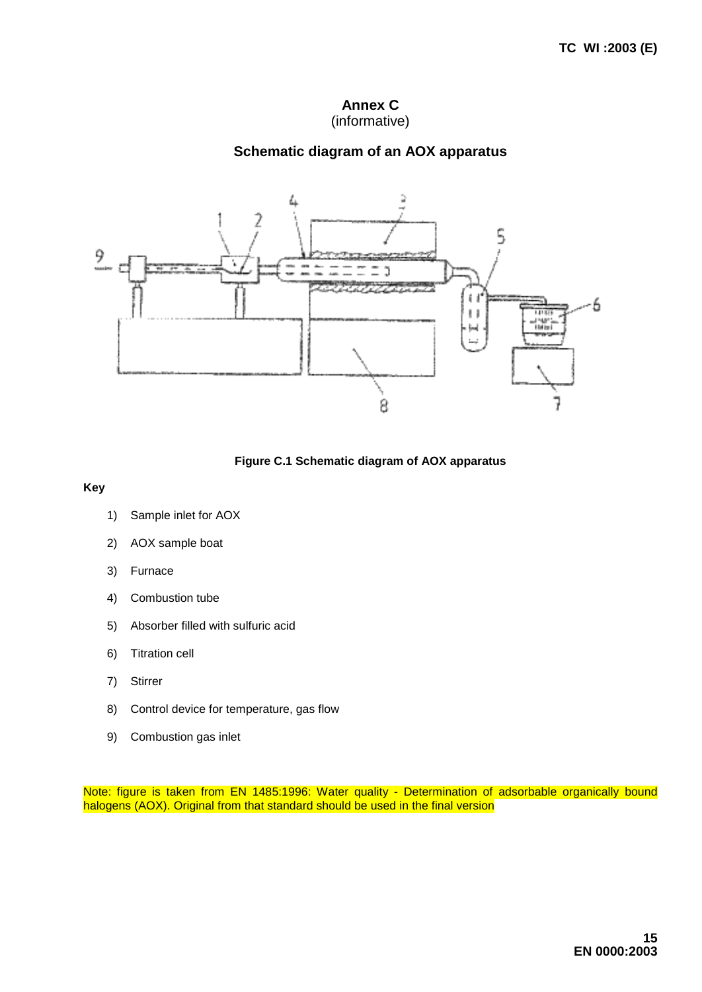## **Annex C** (informative)

## **Schematic diagram of an AOX apparatus**



**Figure C.1 Schematic diagram of AOX apparatus**

**Key**

- 1) Sample inlet for AOX
- 2) AOX sample boat
- 3) Furnace
- 4) Combustion tube
- 5) Absorber filled with sulfuric acid
- 6) Titration cell
- 7) Stirrer
- 8) Control device for temperature, gas flow
- 9) Combustion gas inlet

Note: figure is taken from EN 1485:1996: Water quality - Determination of adsorbable organically bound halogens (AOX). Original from that standard should be used in the final version